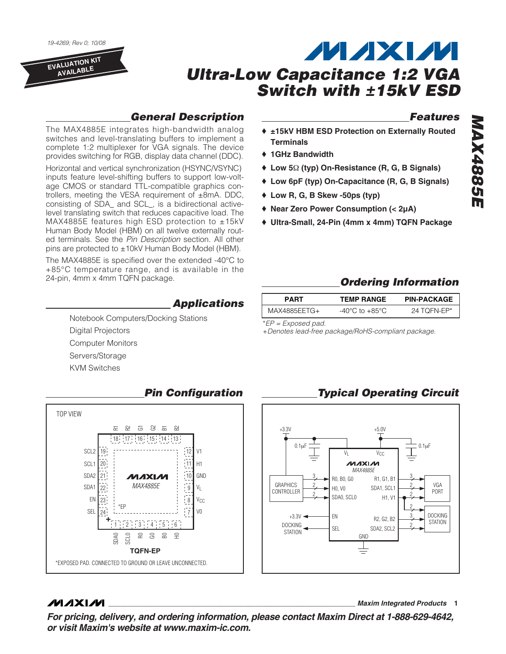19-4269; Rev 0; 10/08

**EVALUATION KIT AVAILABLE**



♦ **Low R, G, B Skew -50ps (typ)**

## **General Description**

The MAX4885E integrates high-bandwidth analog switches and level-translating buffers to implement a complete 1:2 multiplexer for VGA signals. The device provides switching for RGB, display data channel (DDC).

Horizontal and vertical synchronization (HSYNC/VSYNC) inputs feature level-shifting buffers to support low-voltage CMOS or standard TTL-compatible graphics controllers, meeting the VESA requirement of ±8mA. DDC, consisting of SDA\_ and SCL\_, is a bidirectional activelevel translating switch that reduces capacitive load. The MAX4885E features high ESD protection to ±15kV Human Body Model (HBM) on all twelve externally routed terminals. See the Pin Description section. All other pins are protected to ±10kV Human Body Model (HBM).

The MAX4885E is specified over the extended -40°C to +85°C temperature range, and is available in the 24-pin, 4mm x 4mm TQFN package.

#### **Applications**

Notebook Computers/Docking Stations Digital Projectors Computer Monitors Servers/Storage KVM Switches



#### **Pin Configuration**

### **MAXM**

**\_\_\_\_\_\_\_\_\_\_\_\_\_\_\_\_\_\_\_\_\_\_\_\_\_\_\_\_\_\_\_\_\_\_\_\_\_\_\_\_\_\_\_\_\_\_\_\_\_\_\_\_\_\_\_\_\_\_\_\_\_\_\_\_ Maxim Integrated Products 1**

**Features MAX4885E MAX4885E** ♦ **±15kV HBM ESD Protection on Externally Routed**

**Ordering Information**

**Typical Operating Circuit**

| <b>PART</b>  | <b>TEMP RANGE</b> | <b>PIN-PACKAGE</b> |
|--------------|-------------------|--------------------|
| MAX4885EETG+ | -40°C to +85°C    | 24 TOFN-EP*        |

\*EP = Exposed pad.

**Terminals** ♦ **1GHz Bandwidth**

+Denotes lead-free package/RoHS-compliant package.

♦ **Low 5**Ω **(typ) On-Resistance (R, G, B Signals)** ♦ **Low 6pF (typ) On-Capacitance (R, G, B Signals)**

♦ **Ultra-Small, 24-Pin (4mm x 4mm) TQFN Package**

♦ **Near Zero Power Consumption (< 2µA)**

#### +3.3V +5.0V 0.1µF 0.1µF  $V_{\text{C}}$   $V_{\text{C}}$ **MAXIM** *MAX4885E* 3 3 R0, B0, G0 R1, G1, B1 **GRAPHICS** VGA 2 2 H0, V0 SDA1, SCL1 CONTROLLER PORT 2 2 SDA0, SCL0 H1, V1 2  $+3.3V$   $\leftarrow$  EN DOCKING 3 R2, G2, B2 **STATION**  $\frac{2}{\text{STATION}}$  SEL SDA2, SCL2  $\frac{2}{\sqrt{2}}$ **STATION** GND

**For pricing, delivery, and ordering information, please contact Maxim Direct at 1-888-629-4642, or visit Maxim's website at www.maxim-ic.com.**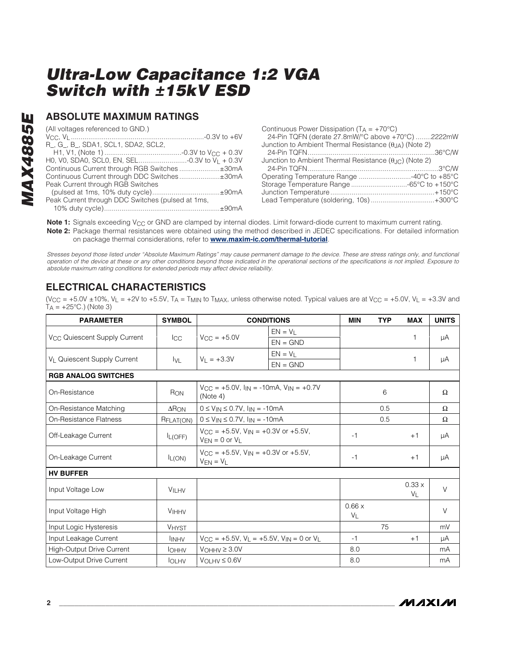### **ABSOLUTE MAXIMUM RATINGS**

(All voltages referenced to GND.)

| R_, G_, B_, SDA1, SCL1, SDA2, SCL2,               |  |
|---------------------------------------------------|--|
|                                                   |  |
|                                                   |  |
|                                                   |  |
| Continuous Current through DDC Switches±30mA      |  |
| Peak Current through RGB Switches                 |  |
|                                                   |  |
| Peak Current through DDC Switches (pulsed at 1ms, |  |
|                                                   |  |
|                                                   |  |

| Continuous Power Dissipation ( $T_A = +70^{\circ}C$ )                  |  |
|------------------------------------------------------------------------|--|
| 24-Pin TQFN (derate 27.8mW/°C above +70°C) 2222mW                      |  |
| Junction to Ambient Thermal Resistance $(\theta_{JA})$ (Note 2)        |  |
|                                                                        |  |
| Junction to Ambient Thermal Resistance $(\theta_{\text{JC}})$ (Note 2) |  |
| _24-Pin TQFN………………………………………………………3°C/W                                 |  |
| Operating Temperature Range 40°C to +85°C                              |  |
| Storage Temperature Range -65°C to +150°C                              |  |
|                                                                        |  |
| Lead Temperature (soldering, 10s)+300°C                                |  |
|                                                                        |  |

Note 1: Signals exceeding V<sub>CC</sub> or GND are clamped by internal diodes. Limit forward-diode current to maximum current rating. **Note 2:** Package thermal resistances were obtained using the method described in JEDEC specifications. For detailed information on package thermal considerations, refer to **www.maxim-ic.com/thermal-tutorial**.

Stresses beyond those listed under "Absolute Maximum Ratings" may cause permanent damage to the device. These are stress ratings only, and functional operation of the device at these or any other conditions beyond those indicated in the operational sections of the specifications is not implied. Exposure to absolute maximum rating conditions for extended periods may affect device reliability.

### **ELECTRICAL CHARACTERISTICS**

(V<sub>CC</sub> = +5.0V ± 10%, V<sub>L</sub> = +2V to +5.5V, T<sub>A</sub> = T<sub>MIN</sub> to T<sub>MAX</sub>, unless otherwise noted. Typical values are at V<sub>CC</sub> = +5.0V, V<sub>L</sub> = +3.3V and  $T_A = +25$ °C.) (Note 3)

| <b>PARAMETER</b>                         | <b>SYMBOL</b>            |                                                                                         | <b>CONDITIONS</b>                                                                   | <b>MIN</b>     | <b>TYP</b> | <b>MAX</b>              | <b>UNITS</b> |
|------------------------------------------|--------------------------|-----------------------------------------------------------------------------------------|-------------------------------------------------------------------------------------|----------------|------------|-------------------------|--------------|
|                                          |                          |                                                                                         | $EN = V_L$                                                                          |                |            | 1                       |              |
| V <sub>CC</sub> Quiescent Supply Current | $_{\rm lCC}$             | $V_{CC} = +5.0V$                                                                        | $EN = GND$                                                                          |                |            |                         | μA           |
| V <sub>L</sub> Quiescent Supply Current  |                          | $V_L = +3.3V$                                                                           | $EN = VI$                                                                           |                |            | 1                       | μA           |
|                                          | $I_{\text{VL}}$          |                                                                                         | $EN = GND$                                                                          |                |            |                         |              |
| <b>RGB ANALOG SWITCHES</b>               |                          |                                                                                         |                                                                                     |                |            |                         |              |
| On-Resistance                            | RON                      | (Note 4)                                                                                | $V_{\text{CC}} = +5.0V$ , $I_{\text{IN}} = -10 \text{mA}$ , $V_{\text{IN}} = +0.7V$ |                | 6          |                         | Ω            |
| On-Resistance Matching                   | $\Delta$ R <sub>ON</sub> | $0 \le V_{IN} \le 0.7V$ , $I_{IN} = -10mA$                                              |                                                                                     |                | 0.5        |                         | $\Omega$     |
| On-Resistance Flatness                   | RFLAT(ON)                | $0 \le V_{IN} \le 0.7V$ , $I_{IN} = -10mA$                                              |                                                                                     |                | 0.5        |                         | Ω            |
| Off-Leakage Current                      | I <sub>L(OFF)</sub>      | $V_{\text{CC}} = +5.5V$ , $V_{\text{IN}} = +0.3V$ or $+5.5V$ ,<br>$V_{EN} = 0$ or $V_L$ |                                                                                     | $-1$           |            | $+1$                    | μA           |
| On-Leakage Current                       | $I_{L(ON)}$              | $V_{\rm CC}$ = +5.5V, $V_{\rm IN}$ = +0.3V or +5.5V,<br>$V_{EN} = V_L$                  |                                                                                     | $-1$           |            | $+1$                    | μA           |
| <b>HV BUFFER</b>                         |                          |                                                                                         |                                                                                     |                |            |                         |              |
| Input Voltage Low                        | <b>VILHV</b>             |                                                                                         |                                                                                     |                |            | 0.33x<br>V <sub>1</sub> | $\vee$       |
| Input Voltage High                       | <b>VIHHV</b>             |                                                                                         |                                                                                     | 0.66x<br>$V_L$ |            |                         | $\vee$       |
| Input Logic Hysteresis                   | <b>VHYST</b>             |                                                                                         |                                                                                     |                | 75         |                         | mV           |
| Input Leakage Current                    | <b>INHV</b>              | $V_{CC}$ = +5.5V, $V_L$ = +5.5V, $V_{IN}$ = 0 or $V_L$                                  |                                                                                     | $-1$           |            | $+1$                    | μA           |
| <b>High-Output Drive Current</b>         | <b>I</b> OHHV            | $V$ OHHV $\geq$ 3.0V                                                                    |                                                                                     | 8.0            |            |                         | mA           |
| Low-Output Drive Current                 | <b>IOLHV</b>             | $V_{OLHV} \leq 0.6V$                                                                    |                                                                                     | 8.0            |            |                         | mA           |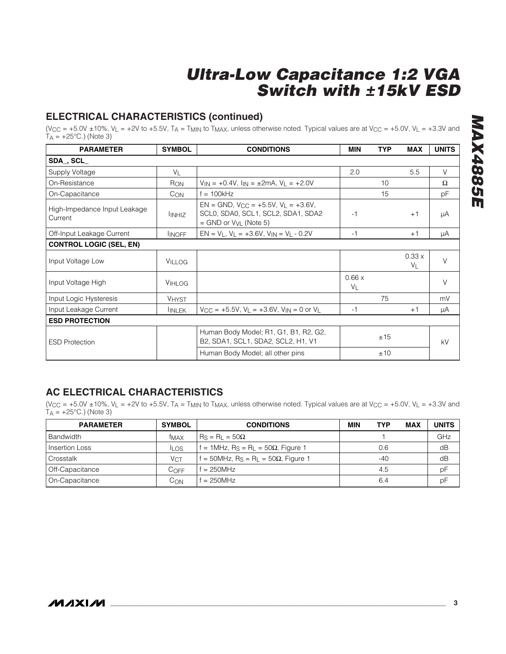### **ELECTRICAL CHARACTERISTICS (continued)**

(V<sub>CC</sub> = +5.0V ± 10%, V<sub>L</sub> = +2V to +5.5V, T<sub>A</sub> = T<sub>MIN</sub> to T<sub>MAX</sub>, unless otherwise noted. Typical values are at V<sub>CC</sub> = +5.0V, V<sub>L</sub> = +3.3V and  $T_A = +25^{\circ}$ C.) (Note 3)

| <b>PARAMETER</b>                        | <b>SYMBOL</b>   | <b>CONDITIONS</b>                                                                                                     | <b>MIN</b>              | <b>TYP</b> | <b>MAX</b>              | <b>UNITS</b> |
|-----------------------------------------|-----------------|-----------------------------------------------------------------------------------------------------------------------|-------------------------|------------|-------------------------|--------------|
| SDA, SCL                                |                 |                                                                                                                       |                         |            |                         |              |
| Supply Voltage                          | $V_L$           |                                                                                                                       | 2.0                     |            | 5.5                     | $\vee$       |
| On-Resistance                           | R <sub>ON</sub> | $V_{IN} = +0.4V$ , $I_{IN} = \pm 2mA$ , $V_L = +2.0V$                                                                 |                         | 10         |                         | $\Omega$     |
| On-Capacitance                          | $C_{ON}$        | $f = 100kHz$                                                                                                          |                         | 15         |                         | рF           |
| High-Impedance Input Leakage<br>Current | <b>INHIZ</b>    | $EN = GND$ , $V_{CC} = +5.5V$ , $V_1 = +3.6V$ ,<br>SCL0, SDA0, SCL1, SCL2, SDA1, SDA2<br>$=$ GND or $V_{VL}$ (Note 5) | $-1$                    |            | $+1$                    | μA           |
| Off-Input Leakage Current               | <b>INOFF</b>    | $EN = V_L$ , $V_L = +3.6V$ , $V_{IN} = V_L - 0.2V$                                                                    | $-1$                    |            | $+1$                    | μA           |
| <b>CONTROL LOGIC (SEL, EN)</b>          |                 |                                                                                                                       |                         |            |                         |              |
| Input Voltage Low                       | <b>VILLOG</b>   |                                                                                                                       |                         |            | 0.33x<br>V <sub>1</sub> | $\vee$       |
| Input Voltage High                      | VIHLOG          |                                                                                                                       | 0.66x<br>V <sub>1</sub> |            |                         | V            |
| Input Logic Hysteresis                  | <b>VHYST</b>    |                                                                                                                       |                         | 75         |                         | mV           |
| Input Leakage Current                   | <b>INLEK</b>    | $V_{\text{CC}} = +5.5V$ , $V_{\text{L}} = +3.6V$ , $V_{\text{IN}} = 0$ or $V_{\text{L}}$                              | $-1$                    |            | $+1$                    | μA           |
| <b>ESD PROTECTION</b>                   |                 |                                                                                                                       |                         |            |                         |              |
| <b>ESD Protection</b>                   |                 | Human Body Model; R1, G1, B1, R2, G2,<br>B2, SDA1, SCL1, SDA2, SCL2, H1, V1                                           |                         | ±15        |                         | kV           |
|                                         |                 | Human Body Model; all other pins                                                                                      |                         | ±10        |                         |              |

### **AC ELECTRICAL CHARACTERISTICS**

(V<sub>CC</sub> = +5.0V ±10%, V<sub>L</sub> = +2V to +5.5V, T<sub>A</sub> = T<sub>MIN</sub> to T<sub>MAX</sub>, unless otherwise noted. Typical values are at V<sub>CC</sub> = +5.0V, V<sub>L</sub> = +3.3V and  $T_A = +25$ °C.) (Note 3)

| <b>PARAMETER</b> | <b>SYMBOL</b> | <b>CONDITIONS</b>                                                      | MIN | TYP   | <b>MAX</b> | <b>UNITS</b> |
|------------------|---------------|------------------------------------------------------------------------|-----|-------|------------|--------------|
| l Bandwidth      | <b>TMAX</b>   | $Rs = R_1 = 50\Omega$                                                  |     |       |            | <b>GHz</b>   |
| Insertion Loss   | <b>ILOS</b>   | f = 1MHz, $R_S = R_L = 50\Omega$ , Figure 1                            |     | 0.6   |            | dB           |
| l Crosstalk      | VCT           | $f = 50$ MHz, R <sub>S</sub> = R <sub>L</sub> = 50 $\Omega$ , Figure 1 |     | $-40$ |            | dB           |
| Off-Capacitance  | COFF          | $= 250$ MHz                                                            |     | 4.5   |            | pF           |
| On-Capacitance   | Сом           | $f = 250MHz$                                                           |     | 6.4   |            | pF           |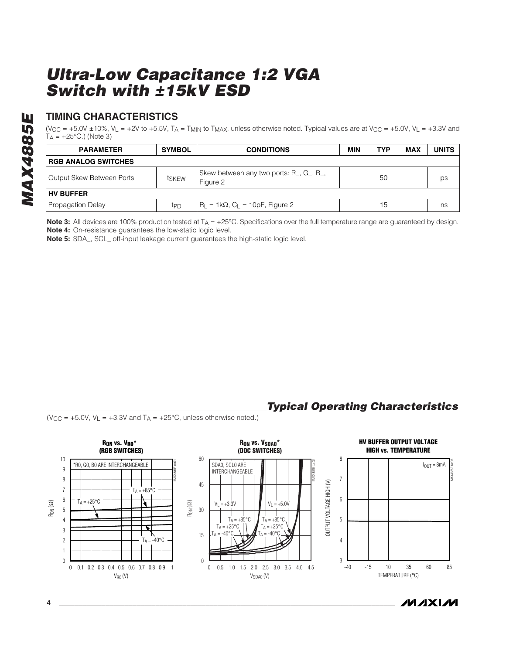### **TIMING CHARACTERISTICS**

 $(V_{CC} = +5.0V \pm 10\%$ ,  $V_L = +2V$  to +5.5V, T<sub>A</sub> = T<sub>MIN</sub> to T<sub>MAX</sub>, unless otherwise noted. Typical values are at  $V_{CC} = +5.0V$ ,  $V_L = +3.3V$  and  $T_A = +25$ °C.) (Note 3)

| <b>PARAMETER</b>           | <b>SYMBOL</b>   | <b>CONDITIONS</b>                                                                    | MIN | TYP | <b>MAX</b> | <b>UNITS</b> |  |
|----------------------------|-----------------|--------------------------------------------------------------------------------------|-----|-----|------------|--------------|--|
| <b>RGB ANALOG SWITCHES</b> |                 |                                                                                      |     |     |            |              |  |
| Output Skew Between Ports  | tskew           | Skew between any two ports: R <sub>,</sub> G <sub>,</sub> B <sub>,</sub><br>Figure 2 |     | 50  |            | ps           |  |
| <b>HV BUFFER</b>           |                 |                                                                                      |     |     |            |              |  |
| Propagation Delay          | tp <sub>D</sub> | $R_L = 1k\Omega$ , $C_L = 10pF$ , Figure 2                                           |     | 15  |            | ns           |  |

**Note 3:** All devices are 100% production tested at T<sub>A</sub> = +25°C. Specifications over the full temperature range are guaranteed by design. **Note 4:** On-resistance guarantees the low-static logic level.

**Note 5:** SDA\_, SCL\_ off-input leakage current guarantees the high-static logic level.

### **Typical Operating Characteristics**

( $V_{CC}$  = +5.0V,  $V_L$  = +3.3V and  $T_A$  = +25°C, unless otherwise noted.)



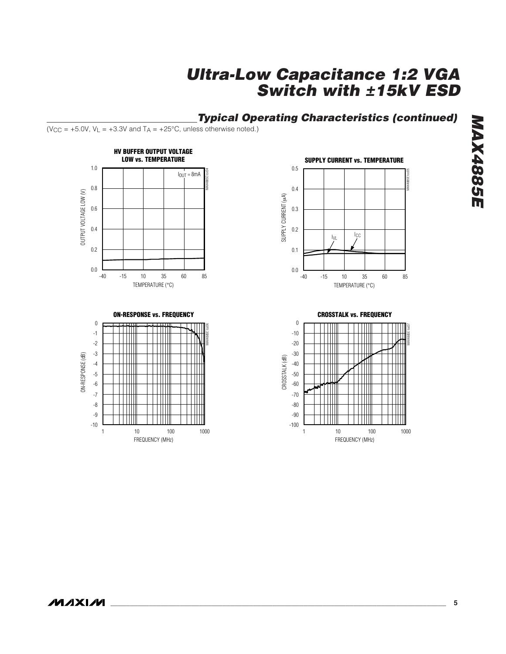### **Typical Operating Characteristics (continued)**

( $V_{CC}$  = +5.0V,  $V_L$  = +3.3V and  $T_A$  = +25°C, unless otherwise noted.)







 $\boldsymbol{0}$ 



#### **CROSSTALK vs. FREQUENCY**

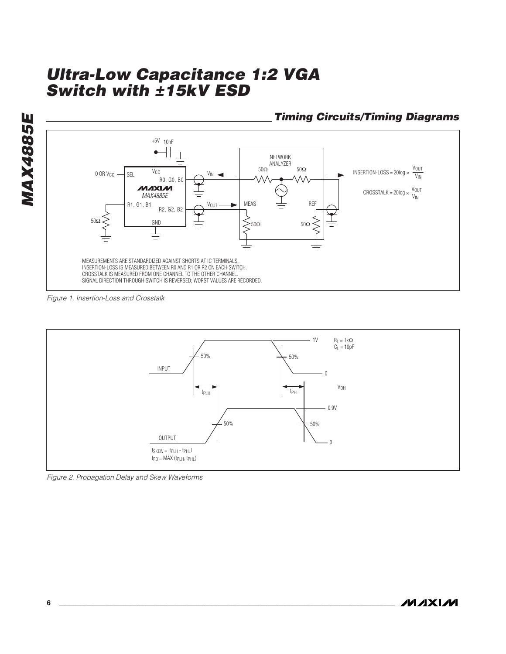

Figure 1. Insertion-Loss and Crosstalk



Figure 2. Propagation Delay and Skew Waveforms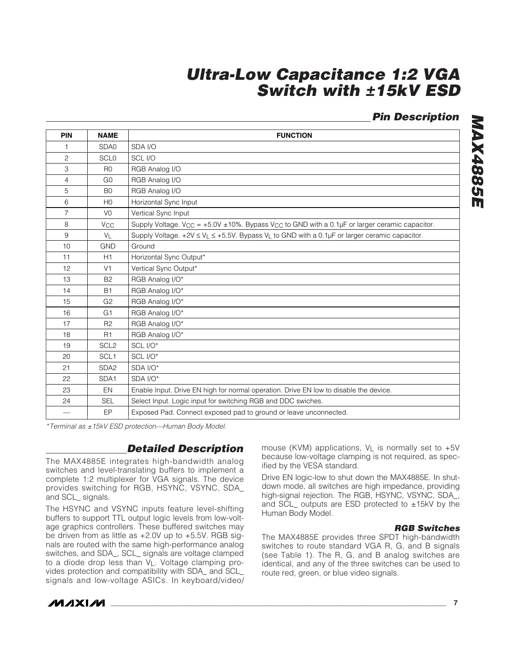### **Pin Description**

| <b>PIN</b>        | <b>NAME</b>           | <b>FUNCTION</b>                                                                                                        |
|-------------------|-----------------------|------------------------------------------------------------------------------------------------------------------------|
| 1.                | SDA0                  | SDA I/O                                                                                                                |
| $\overline{c}$    | <b>SCLO</b>           | SCL I/O                                                                                                                |
| 3                 | R <sub>0</sub>        | RGB Analog I/O                                                                                                         |
| $\overline{4}$    | G <sub>0</sub>        | RGB Analog I/O                                                                                                         |
| 5                 | B <sub>0</sub>        | RGB Analog I/O                                                                                                         |
| 6                 | H <sub>0</sub>        | Horizontal Sync Input                                                                                                  |
| $\overline{7}$    | V <sub>0</sub>        | Vertical Sync Input                                                                                                    |
| 8                 | <b>V<sub>CC</sub></b> | Supply Voltage. V <sub>CC</sub> = +5.0V ± 10%. Bypass V <sub>CC</sub> to GND with a 0.1µF or larger ceramic capacitor. |
| 9                 | $V_L$                 | Supply Voltage. $+2V \le V_L \le +5.5V$ . Bypass V <sub>L</sub> to GND with a 0.1µF or larger ceramic capacitor.       |
| 10                | <b>GND</b>            | Ground                                                                                                                 |
| 11                | H1                    | Horizontal Sync Output*                                                                                                |
| $12 \overline{ }$ | V <sub>1</sub>        | Vertical Sync Output*                                                                                                  |
| 13                | <b>B2</b>             | RGB Analog I/O*                                                                                                        |
| 14                | <b>B1</b>             | RGB Analog I/O*                                                                                                        |
| 15                | G <sub>2</sub>        | RGB Analog I/O*                                                                                                        |
| 16                | G <sub>1</sub>        | RGB Analog I/O*                                                                                                        |
| 17                | R <sub>2</sub>        | RGB Analog I/O*                                                                                                        |
| 18                | R1                    | RGB Analog I/O*                                                                                                        |
| 19                | SCL <sub>2</sub>      | SCL I/O*                                                                                                               |
| 20                | SCL <sub>1</sub>      | SCL I/O*                                                                                                               |
| 21                | SDA <sub>2</sub>      | SDA I/O*                                                                                                               |
| 22                | SDA1                  | SDA I/O*                                                                                                               |
| 23                | EN                    | Enable Input. Drive EN high for normal operation. Drive EN low to disable the device.                                  |
| 24                | <b>SEL</b>            | Select Input. Logic input for switching RGB and DDC swiches.                                                           |
|                   | EP                    | Exposed Pad. Connect exposed pad to ground or leave unconnected.                                                       |

\*Terminal as ±15kV ESD protection—Human Body Model.

### **Detailed Description**

The MAX4885E integrates high-bandwidth analog switches and level-translating buffers to implement a complete 1:2 multiplexer for VGA signals. The device provides switching for RGB, HSYNC, VSYNC, SDA\_ and SCL\_ signals.

The HSYNC and VSYNC inputs feature level-shifting buffers to support TTL output logic levels from low-voltage graphics controllers. These buffered switches may be driven from as little as +2.0V up to +5.5V. RGB signals are routed with the same high-performance analog switches, and SDA\_, SCL\_ signals are voltage clamped to a diode drop less than VL. Voltage clamping provides protection and compatibility with SDA\_ and SCL\_ signals and low-voltage ASICs. In keyboard/video/ mouse (KVM) applications,  $V_L$  is normally set to  $+5V$ because low-voltage clamping is not required, as specified by the VESA standard.

Drive EN logic-low to shut down the MAX4885E. In shutdown mode, all switches are high impedance, providing high-signal rejection. The RGB, HSYNC, VSYNC, SDA\_, and SCL\_ outputs are ESD protected to ±15kV by the Human Body Model.

#### **RGB Switches**

The MAX4885E provides three SPDT high-bandwidth switches to route standard VGA R, G, and B signals (see Table 1). The R, G, and B analog switches are identical, and any of the three switches can be used to route red, green, or blue video signals.

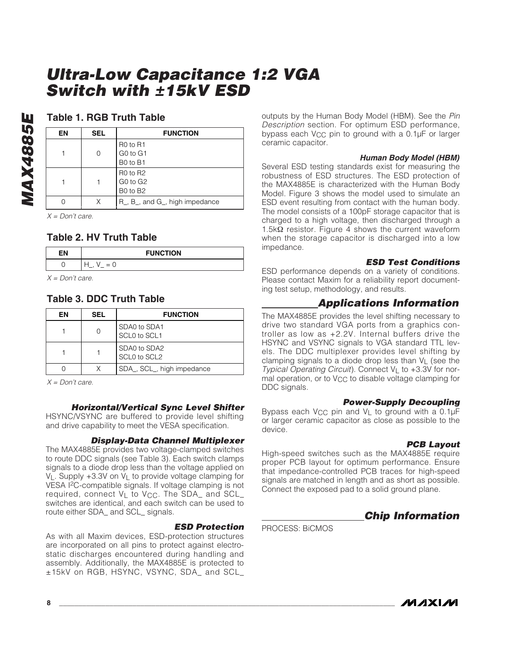#### **Table 1. RGB Truth Table**

| ΕN | <b>SEL</b> | <b>FUNCTION</b>                                                                  |
|----|------------|----------------------------------------------------------------------------------|
|    | 0          | R <sub>0</sub> to R <sub>1</sub><br>G <sub>0</sub> to G <sub>1</sub><br>B0 to B1 |
|    |            | <b>R0 to R2</b><br>GO to G <sub>2</sub><br>B0 to B2                              |
|    | X          | R <sub>,</sub> B <sub>,</sub> and G <sub>,</sub> high impedance                  |

 $X = Don't care.$ 

#### **Table 2. HV Truth Table**

| <b>FUNCTION</b> |  |
|-----------------|--|
| $= 0$           |  |

 $X = Don't care.$ 

#### **Table 3. DDC Truth Table**

| ΕN | <b>SEL</b> | <b>FUNCTION</b>              |
|----|------------|------------------------------|
|    |            | SDA0 to SDA1<br>SCL0 to SCL1 |
|    |            | SDA0 to SDA2<br>SCL0 to SCL2 |
|    |            | SDA_, SCL_, high impedance   |

 $X = Don't care.$ 

#### **Horizontal/Vertical Sync Level Shifter**

HSYNC/VSYNC are buffered to provide level shifting and drive capability to meet the VESA specification.

#### **Display-Data Channel Multiplexer**

The MAX4885E provides two voltage-clamped switches to route DDC signals (see Table 3). Each switch clamps signals to a diode drop less than the voltage applied on  $V_L$ . Supply +3.3V on  $V_L$  to provide voltage clamping for VESA I2C-compatible signals. If voltage clamping is not required, connect VL to V<sub>CC</sub>. The SDA\_ and SCL\_ switches are identical, and each switch can be used to route either SDA and SCL signals.

#### **ESD Protection**

As with all Maxim devices, ESD-protection structures are incorporated on all pins to protect against electrostatic discharges encountered during handling and assembly. Additionally, the MAX4885E is protected to ±15kV on RGB, HSYNC, VSYNC, SDA\_ and SCL\_ outputs by the Human Body Model (HBM). See the Pin Description section. For optimum ESD performance, bypass each V<sub>CC</sub> pin to ground with a 0.1µF or larger ceramic capacitor.

#### **Human Body Model (HBM)**

Several ESD testing standards exist for measuring the robustness of ESD structures. The ESD protection of the MAX4885E is characterized with the Human Body Model. Figure 3 shows the model used to simulate an ESD event resulting from contact with the human body. The model consists of a 100pF storage capacitor that is charged to a high voltage, then discharged through a 1.5kΩ resistor. Figure 4 shows the current waveform when the storage capacitor is discharged into a low impedance.

#### **ESD Test Conditions**

ESD performance depends on a variety of conditions. Please contact Maxim for a reliability report documenting test setup, methodology, and results.

#### **Applications Information**

The MAX4885E provides the level shifting necessary to drive two standard VGA ports from a graphics controller as low as +2.2V. Internal buffers drive the HSYNC and VSYNC signals to VGA standard TTL levels. The DDC multiplexer provides level shifting by clamping signals to a diode drop less than  $V_L$  (see the Typical Operating Circuit). Connect VL to +3.3V for normal operation, or to V<sub>CC</sub> to disable voltage clamping for DDC signals.

#### **Power-Supply Decoupling**

Bypass each V<sub>CC</sub> pin and V<sub>L</sub> to ground with a  $0.1\mu$ F or larger ceramic capacitor as close as possible to the device.

#### **PCB Layout**

High-speed switches such as the MAX4885E require proper PCB layout for optimum performance. Ensure that impedance-controlled PCB traces for high-speed signals are matched in length and as short as possible. Connect the exposed pad to a solid ground plane.

### **Chip Information**

PROCESS: BiCMOS

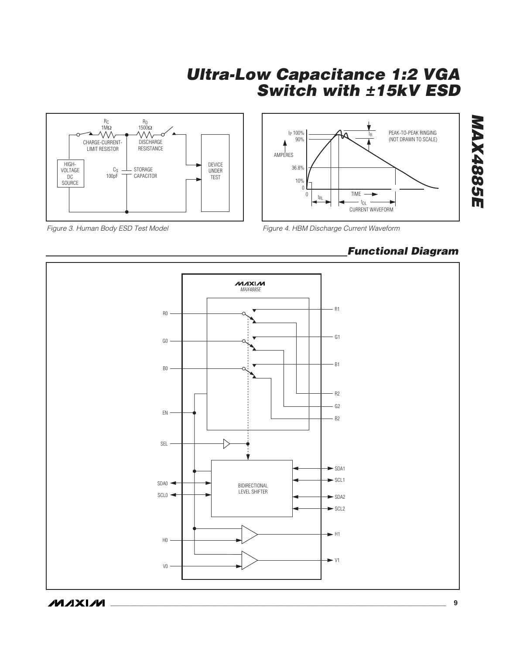



Figure 3. Human Body ESD Test Model

Figure 4. HBM Discharge Current Waveform

## **Functional Diagram**

**MAX4885E**

**MAX4885E**